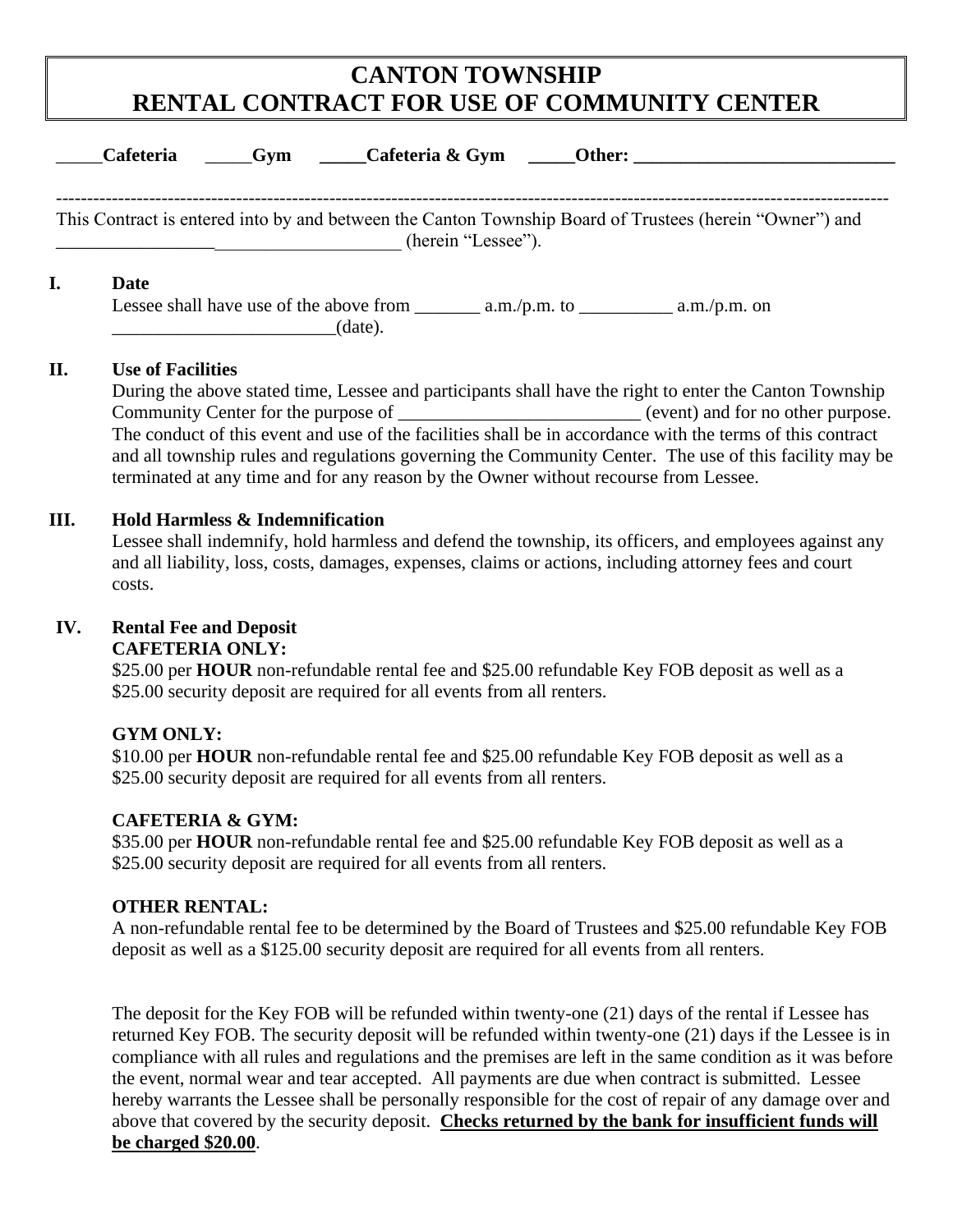# **CANTON TOWNSHIP RENTAL CONTRACT FOR USE OF COMMUNITY CENTER**

| <b>Cafeteria</b><br>Gym Cafeteria & Gym<br><b>Other:</b> The contract of the contract of the contract of the contract of the contract of the contract of the contract of the contract of the contract of the contract of the contract of the contract of the contract of the c |
|--------------------------------------------------------------------------------------------------------------------------------------------------------------------------------------------------------------------------------------------------------------------------------|
| This Contract is entered into by and between the Canton Township Board of Trustees (herein "Owner") and<br>(herein "Lessee").                                                                                                                                                  |
| Date<br>(date).                                                                                                                                                                                                                                                                |

#### **II. Use of Facilities**

During the above stated time, Lessee and participants shall have the right to enter the Canton Township Community Center for the purpose of  $(event)$  and for no other purpose. The conduct of this event and use of the facilities shall be in accordance with the terms of this contract and all township rules and regulations governing the Community Center. The use of this facility may be terminated at any time and for any reason by the Owner without recourse from Lessee.

#### **III. Hold Harmless & Indemnification**

Lessee shall indemnify, hold harmless and defend the township, its officers, and employees against any and all liability, loss, costs, damages, expenses, claims or actions, including attorney fees and court costs.

## **IV. Rental Fee and Deposit**

## **CAFETERIA ONLY:**

\$25.00 per **HOUR** non-refundable rental fee and \$25.00 refundable Key FOB deposit as well as a \$25.00 security deposit are required for all events from all renters.

## **GYM ONLY:**

\$10.00 per **HOUR** non-refundable rental fee and \$25.00 refundable Key FOB deposit as well as a \$25.00 security deposit are required for all events from all renters.

#### **CAFETERIA & GYM:**

\$35.00 per **HOUR** non-refundable rental fee and \$25.00 refundable Key FOB deposit as well as a \$25.00 security deposit are required for all events from all renters.

## **OTHER RENTAL:**

A non-refundable rental fee to be determined by the Board of Trustees and \$25.00 refundable Key FOB deposit as well as a \$125.00 security deposit are required for all events from all renters.

The deposit for the Key FOB will be refunded within twenty-one (21) days of the rental if Lessee has returned Key FOB. The security deposit will be refunded within twenty-one (21) days if the Lessee is in compliance with all rules and regulations and the premises are left in the same condition as it was before the event, normal wear and tear accepted. All payments are due when contract is submitted. Lessee hereby warrants the Lessee shall be personally responsible for the cost of repair of any damage over and above that covered by the security deposit. **Checks returned by the bank for insufficient funds will be charged \$20.00**.